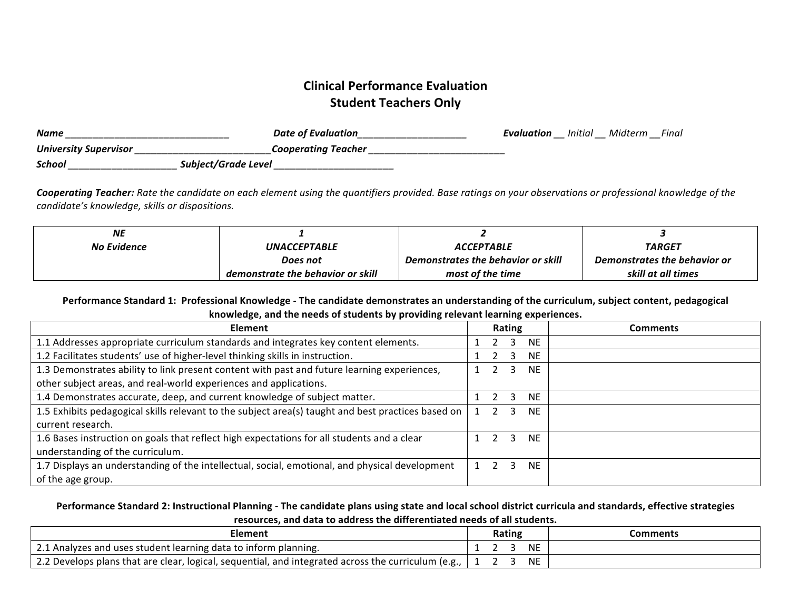# **Clinical Performance Evaluation Student Teachers Only**

| <b>Name</b>                  | Date of Evaluation  | Evaluation<br>__ | Initial<br>__ | Midterm<br>-- | Final |
|------------------------------|---------------------|------------------|---------------|---------------|-------|
| <b>University Supervisor</b> | Cooperating Teacher |                  |               |               |       |
| School                       | Subject/Grade Level |                  |               |               |       |

**Cooperating Teacher:** Rate the candidate on each element using the quantifiers provided. Base ratings on your observations or professional knowledge of the *candidate's knowledge, skills or dispositions.*

| <b>NE</b>   |                                   |                                    |                              |
|-------------|-----------------------------------|------------------------------------|------------------------------|
| No Evidence | <i><b>UNACCEPTABLE</b></i>        | <i><b>ACCEPTABLE</b></i>           | <i><b>TARGET</b></i>         |
|             | Does not                          | Demonstrates the behavior or skill | Demonstrates the behavior or |
|             | demonstrate the behavior or skill | most of the time                   | skill at all times           |

Performance Standard 1: Professional Knowledge - The candidate demonstrates an understanding of the curriculum, subject content, pedagogical knowledge, and the needs of students by providing relevant learning experiences.

| <b>Element</b>                                                                                     | Rating    | Comments |
|----------------------------------------------------------------------------------------------------|-----------|----------|
| 1.1 Addresses appropriate curriculum standards and integrates key content elements.                | NE.       |          |
| 1.2 Facilitates students' use of higher-level thinking skills in instruction.                      | NE.       |          |
| 1.3 Demonstrates ability to link present content with past and future learning experiences,        | NF.       |          |
| other subject areas, and real-world experiences and applications.                                  |           |          |
| 1.4 Demonstrates accurate, deep, and current knowledge of subject matter.                          | <b>NE</b> |          |
| 1.5 Exhibits pedagogical skills relevant to the subject area(s) taught and best practices based on | <b>NF</b> |          |
| current research.                                                                                  |           |          |
| 1.6 Bases instruction on goals that reflect high expectations for all students and a clear         | NF.       |          |
| understanding of the curriculum.                                                                   |           |          |
| 1.7 Displays an understanding of the intellectual, social, emotional, and physical development     | NE.       |          |
| of the age group.                                                                                  |           |          |

Performance Standard 2: Instructional Planning - The candidate plans using state and local school district curricula and standards, effective strategies resources, and data to address the differentiated needs of all students.

| Element                                                                                                       |           | Comments |
|---------------------------------------------------------------------------------------------------------------|-----------|----------|
| 2.1 Analyzes and uses student learning data to inform planning.                                               | <b>NE</b> |          |
| $_1$ 2.2 Develops plans that are clear, logical, sequential, and integrated across the curriculum (e.g., $_1$ | <b>NE</b> |          |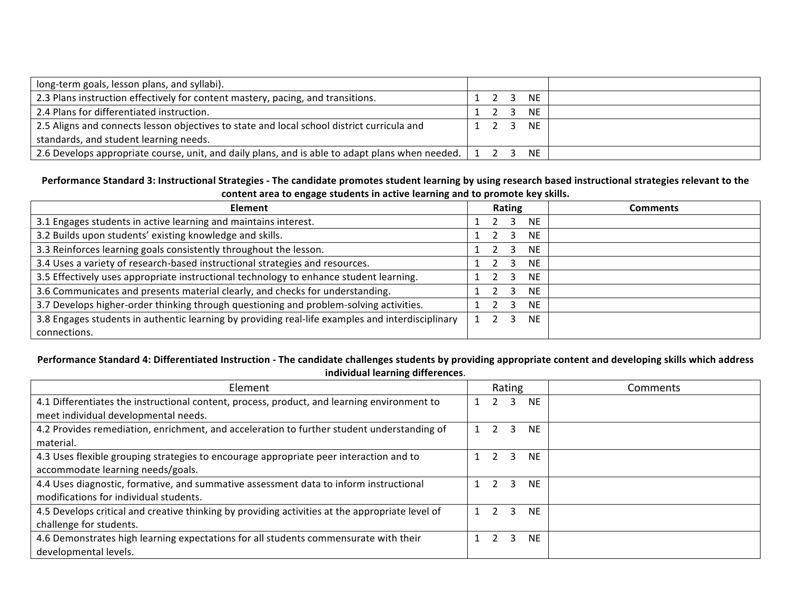| long-term goals, lesson plans, and syllabi).                                                                  |                     |  |      |  |
|---------------------------------------------------------------------------------------------------------------|---------------------|--|------|--|
| 2.3 Plans instruction effectively for content mastery, pacing, and transitions.                               |                     |  | NE   |  |
| 2.4 Plans for differentiated instruction.                                                                     |                     |  | NE.  |  |
| 2.5 Aligns and connects lesson objectives to state and local school district curricula and                    | $1 \quad 2 \quad 3$ |  | NE . |  |
| standards, and student learning needs.                                                                        |                     |  |      |  |
| 2.6 Develops appropriate course, unit, and daily plans, and is able to adapt plans when needed. $\vert$ 1 2 3 |                     |  | NF . |  |

# Performance Standard 3: Instructional Strategies - The candidate promotes student learning by using research based instructional strategies relevant to the content area to engage students in active learning and to promote key skills.

| <b>Element</b>                                                                                   | Rating         | Comments |
|--------------------------------------------------------------------------------------------------|----------------|----------|
| 3.1 Engages students in active learning and maintains interest.                                  | <b>NE</b>      |          |
| 3.2 Builds upon students' existing knowledge and skills.                                         | <b>NE</b>      |          |
| 3.3 Reinforces learning goals consistently throughout the lesson.                                | <b>NE</b>      |          |
| 3.4 Uses a variety of research-based instructional strategies and resources.                     | <b>NE</b><br>3 |          |
| 3.5 Effectively uses appropriate instructional technology to enhance student learning.           | <b>NE</b>      |          |
| 3.6 Communicates and presents material clearly, and checks for understanding.                    | <b>NE</b><br>3 |          |
| 3.7 Develops higher-order thinking through questioning and problem-solving activities.           | NF             |          |
| 3.8 Engages students in authentic learning by providing real-life examples and interdisciplinary | <b>NF</b><br>3 |          |
| connections.                                                                                     |                |          |

# Performance Standard 4: Differentiated Instruction - The candidate challenges students by providing appropriate content and developing skills which address **individual learning differences**.

| Element                                                                                         | Rating    | Comments |
|-------------------------------------------------------------------------------------------------|-----------|----------|
| 4.1 Differentiates the instructional content, process, product, and learning environment to     | <b>NE</b> |          |
| meet individual developmental needs.                                                            |           |          |
| 4.2 Provides remediation, enrichment, and acceleration to further student understanding of      | NE.<br>ર  |          |
| material.                                                                                       |           |          |
| 4.3 Uses flexible grouping strategies to encourage appropriate peer interaction and to          | NE.       |          |
| accommodate learning needs/goals.                                                               |           |          |
| 4.4 Uses diagnostic, formative, and summative assessment data to inform instructional           | <b>NE</b> |          |
| modifications for individual students.                                                          |           |          |
| 4.5 Develops critical and creative thinking by providing activities at the appropriate level of | NE.<br>ર  |          |
| challenge for students.                                                                         |           |          |
| 4.6 Demonstrates high learning expectations for all students commensurate with their            | <b>NE</b> |          |
| developmental levels.                                                                           |           |          |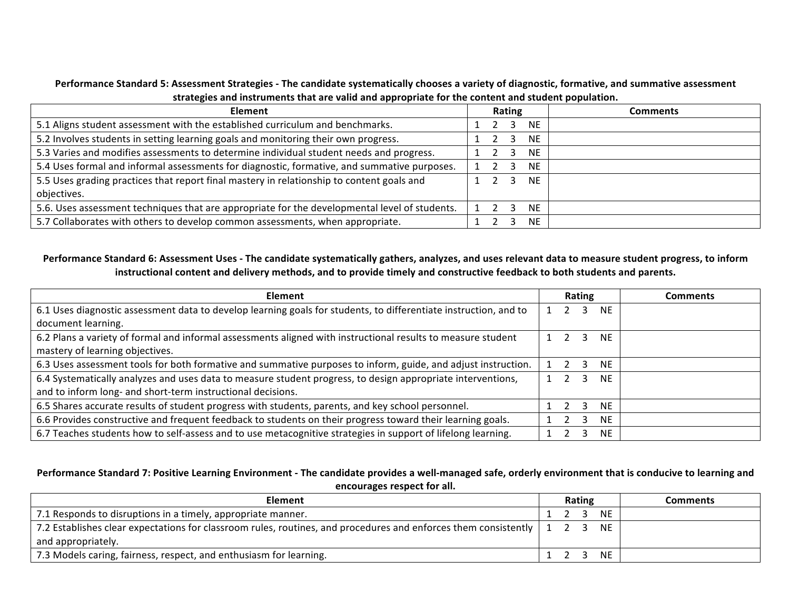Performance Standard 5: Assessment Strategies - The candidate systematically chooses a variety of diagnostic, formative, and summative assessment strategies and instruments that are valid and appropriate for the content and student population.

| <b>Element</b>                                                                                | Rating | Comments |
|-----------------------------------------------------------------------------------------------|--------|----------|
| 5.1 Aligns student assessment with the established curriculum and benchmarks.                 | NE.    |          |
| 5.2 Involves students in setting learning goals and monitoring their own progress.            | NE.    |          |
| 5.3 Varies and modifies assessments to determine individual student needs and progress.       | NE.    |          |
| 5.4 Uses formal and informal assessments for diagnostic, formative, and summative purposes.   | NE.    |          |
| 5.5 Uses grading practices that report final mastery in relationship to content goals and     | NF.    |          |
| objectives.                                                                                   |        |          |
| 5.6. Uses assessment techniques that are appropriate for the developmental level of students. | NF.    |          |
| 5.7 Collaborates with others to develop common assessments, when appropriate.                 | NE.    |          |

#### Performance Standard 6: Assessment Uses - The candidate systematically gathers, analyzes, and uses relevant data to measure student progress, to inform instructional content and delivery methods, and to provide timely and constructive feedback to both students and parents.

| <b>Element</b>                                                                                                   |  | Rating           |           | <b>Comments</b> |
|------------------------------------------------------------------------------------------------------------------|--|------------------|-----------|-----------------|
| 6.1 Uses diagnostic assessment data to develop learning goals for students, to differentiate instruction, and to |  | $\overline{3}$   | NE.       |                 |
| document learning.                                                                                               |  |                  |           |                 |
| 6.2 Plans a variety of formal and informal assessments aligned with instructional results to measure student     |  | $\overline{3}$   | <b>NE</b> |                 |
| mastery of learning objectives.                                                                                  |  |                  |           |                 |
| 6.3 Uses assessment tools for both formative and summative purposes to inform, guide, and adjust instruction.    |  | $2 \overline{3}$ | <b>NE</b> |                 |
| 6.4 Systematically analyzes and uses data to measure student progress, to design appropriate interventions,      |  | $\mathbf{3}$     | <b>NE</b> |                 |
| and to inform long- and short-term instructional decisions.                                                      |  |                  |           |                 |
| 6.5 Shares accurate results of student progress with students, parents, and key school personnel.                |  | 3                | <b>NE</b> |                 |
| 6.6 Provides constructive and frequent feedback to students on their progress toward their learning goals.       |  | 3                | <b>NE</b> |                 |
| 6.7 Teaches students how to self-assess and to use metacognitive strategies in support of lifelong learning.     |  |                  | <b>NE</b> |                 |

# Performance Standard 7: Positive Learning Environment - The candidate provides a well-managed safe, orderly environment that is conducive to learning and **encourages respect for all.**

| Element                                                                                                                    |  | <b>Rating</b> |     | <b>Comments</b> |
|----------------------------------------------------------------------------------------------------------------------------|--|---------------|-----|-----------------|
| 7.1 Responds to disruptions in a timely, appropriate manner.                                                               |  |               | NE. |                 |
| 7.2 Establishes clear expectations for classroom rules, routines, and procedures and enforces them consistently   1 2 3 NE |  |               |     |                 |
| and appropriately.                                                                                                         |  |               |     |                 |
| 7.3 Models caring, fairness, respect, and enthusiasm for learning.                                                         |  |               | NE. |                 |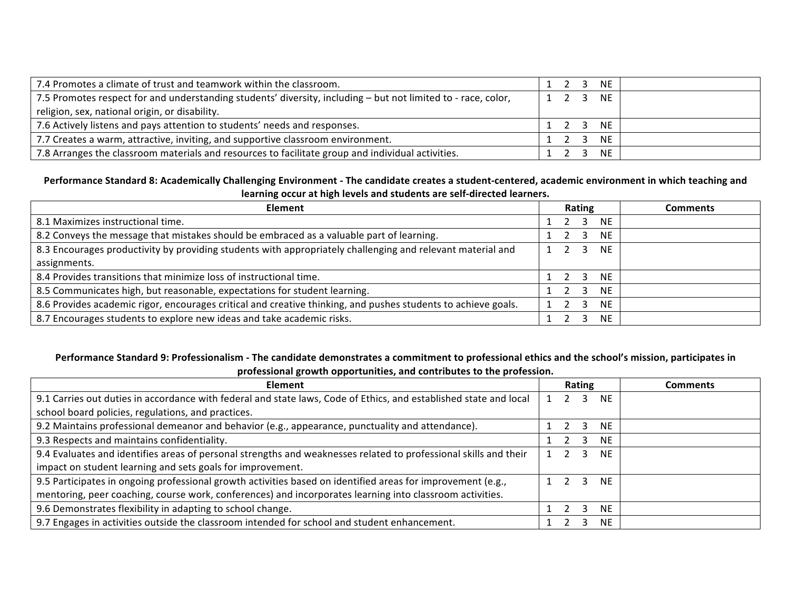| 7.4 Promotes a climate of trust and teamwork within the classroom.                                            |  | 1 2 3 NE |  |
|---------------------------------------------------------------------------------------------------------------|--|----------|--|
| 7.5 Promotes respect for and understanding students' diversity, including – but not limited to - race, color, |  | 1 2 3 NE |  |
| religion, sex, national origin, or disability.                                                                |  |          |  |
| 7.6 Actively listens and pays attention to students' needs and responses.                                     |  | 1 2 3 NE |  |
| 7.7 Creates a warm, attractive, inviting, and supportive classroom environment.                               |  | 1 2 3 NE |  |
| 7.8 Arranges the classroom materials and resources to facilitate group and individual activities.             |  | 1 2 3 NE |  |

# Performance Standard 8: Academically Challenging Environment - The candidate creates a student-centered, academic environment in which teaching and learning occur at high levels and students are self-directed learners.

| <b>Element</b>                                                                                                | Rating                   | <b>Comments</b> |
|---------------------------------------------------------------------------------------------------------------|--------------------------|-----------------|
| 8.1 Maximizes instructional time.                                                                             | $2 \overline{3}$<br>NE.  |                 |
| 8.2 Conveys the message that mistakes should be embraced as a valuable part of learning.                      | NE.                      |                 |
| 8.3 Encourages productivity by providing students with appropriately challenging and relevant material and    | NF.<br>$1\quad 2\quad 3$ |                 |
| assignments.                                                                                                  |                          |                 |
| 8.4 Provides transitions that minimize loss of instructional time.                                            | NE.<br>$2 \overline{3}$  |                 |
| 8.5 Communicates high, but reasonable, expectations for student learning.                                     | NF.<br>$2 \quad 3$       |                 |
| 8.6 Provides academic rigor, encourages critical and creative thinking, and pushes students to achieve goals. | NF.<br>3                 |                 |
| 8.7 Encourages students to explore new ideas and take academic risks.                                         | NE.                      |                 |

# Performance Standard 9: Professionalism - The candidate demonstrates a commitment to professional ethics and the school's mission, participates in professional growth opportunities, and contributes to the profession.

| <b>Element</b>                                                                                                    | Rating |  |                     |           | <b>Comments</b> |
|-------------------------------------------------------------------------------------------------------------------|--------|--|---------------------|-----------|-----------------|
| 9.1 Carries out duties in accordance with federal and state laws, Code of Ethics, and established state and local |        |  | 3                   | NE.       |                 |
| school board policies, regulations, and practices.                                                                |        |  |                     |           |                 |
| 9.2 Maintains professional demeanor and behavior (e.g., appearance, punctuality and attendance).                  |        |  |                     | NE.       |                 |
| 9.3 Respects and maintains confidentiality.                                                                       |        |  |                     | <b>NF</b> |                 |
| 9.4 Evaluates and identifies areas of personal strengths and weaknesses related to professional skills and their  |        |  |                     | <b>NE</b> |                 |
| impact on student learning and sets goals for improvement.                                                        |        |  |                     |           |                 |
| 9.5 Participates in ongoing professional growth activities based on identified areas for improvement (e.g.,       |        |  | $1 \quad 2 \quad 3$ | NF.       |                 |
| mentoring, peer coaching, course work, conferences) and incorporates learning into classroom activities.          |        |  |                     |           |                 |
| 9.6 Demonstrates flexibility in adapting to school change.                                                        |        |  |                     | <b>NE</b> |                 |
| 9.7 Engages in activities outside the classroom intended for school and student enhancement.                      |        |  |                     | <b>NE</b> |                 |